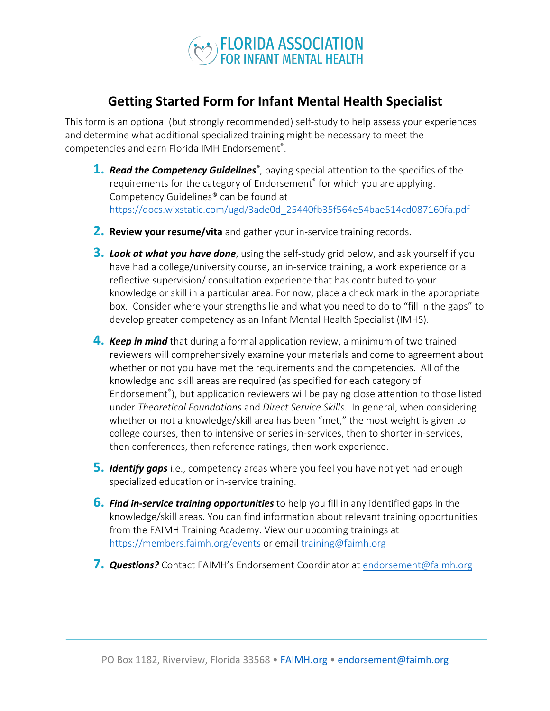

## **Getting Started Form for Infant Mental Health Specialist**

This form is an optional (but strongly recommended) self-study to help assess your experiences and determine what additional specialized training might be necessary to meet the competencies and earn Florida IMH Endorsement® .

- 1. Read the Competency Guidelines<sup>®</sup>, paying special attention to the specifics of the requirements for the category of Endorsement® for which you are applying. Competency Guidelines® can be found at https://docs.wixstatic.com/ugd/3ade0d\_25440fb35f564e54bae514cd087160fa.pdf
- **2. Review your resume/vita** and gather your in-service training records.
- **3.** *Look at what you have done*, using the self-study grid below, and ask yourself if you have had a college/university course, an in-service training, a work experience or a reflective supervision/ consultation experience that has contributed to your knowledge or skill in a particular area. For now, place a check mark in the appropriate box. Consider where your strengths lie and what you need to do to "fill in the gaps" to develop greater competency as an Infant Mental Health Specialist (IMHS).
- **4.** *Keep in mind* that during a formal application review, a minimum of two trained reviewers will comprehensively examine your materials and come to agreement about whether or not you have met the requirements and the competencies. All of the knowledge and skill areas are required (as specified for each category of Endorsement<sup>®</sup>), but application reviewers will be paying close attention to those listed under *Theoretical Foundations* and *Direct Service Skills*. In general, when considering whether or not a knowledge/skill area has been "met," the most weight is given to college courses, then to intensive or series in-services, then to shorter in-services, then conferences, then reference ratings, then work experience.
- **5.** *Identify gaps* i.e., competency areas where you feel you have not yet had enough specialized education or in-service training.
- **6.** *Find in-service training opportunities* to help you fill in any identified gaps in the knowledge/skill areas. You can find information about relevant training opportunities from the FAIMH Training Academy. View our upcoming trainings at https://members.faimh.org/events or email training@faimh.org
- **7.** *Questions?* Contact FAIMH's Endorsement Coordinator atendorsement@faimh.org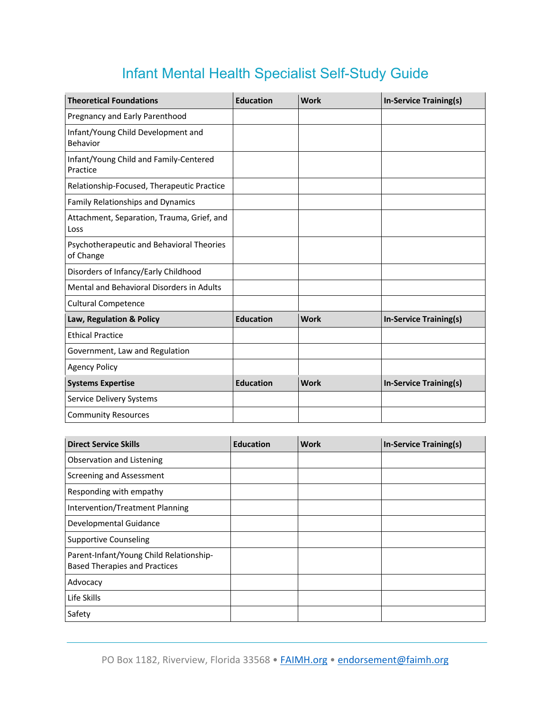## Infant Mental Health Specialist Self-Study Guide

| <b>Theoretical Foundations</b>                         | <b>Education</b> | <b>Work</b> | <b>In-Service Training(s)</b> |
|--------------------------------------------------------|------------------|-------------|-------------------------------|
| Pregnancy and Early Parenthood                         |                  |             |                               |
| Infant/Young Child Development and<br>Behavior         |                  |             |                               |
| Infant/Young Child and Family-Centered<br>Practice     |                  |             |                               |
| Relationship-Focused, Therapeutic Practice             |                  |             |                               |
| Family Relationships and Dynamics                      |                  |             |                               |
| Attachment, Separation, Trauma, Grief, and<br>Loss     |                  |             |                               |
| Psychotherapeutic and Behavioral Theories<br>of Change |                  |             |                               |
| Disorders of Infancy/Early Childhood                   |                  |             |                               |
| Mental and Behavioral Disorders in Adults              |                  |             |                               |
| <b>Cultural Competence</b>                             |                  |             |                               |
| Law, Regulation & Policy                               | <b>Education</b> | <b>Work</b> | <b>In-Service Training(s)</b> |
| <b>Ethical Practice</b>                                |                  |             |                               |
| Government, Law and Regulation                         |                  |             |                               |
| <b>Agency Policy</b>                                   |                  |             |                               |
| <b>Systems Expertise</b>                               | <b>Education</b> | <b>Work</b> | <b>In-Service Training(s)</b> |
| Service Delivery Systems                               |                  |             |                               |
| <b>Community Resources</b>                             |                  |             |                               |

| <b>Direct Service Skills</b>                                                    | <b>Education</b> | <b>Work</b> | <b>In-Service Training(s)</b> |
|---------------------------------------------------------------------------------|------------------|-------------|-------------------------------|
| Observation and Listening                                                       |                  |             |                               |
| Screening and Assessment                                                        |                  |             |                               |
| Responding with empathy                                                         |                  |             |                               |
| Intervention/Treatment Planning                                                 |                  |             |                               |
| Developmental Guidance                                                          |                  |             |                               |
| <b>Supportive Counseling</b>                                                    |                  |             |                               |
| Parent-Infant/Young Child Relationship-<br><b>Based Therapies and Practices</b> |                  |             |                               |
| Advocacy                                                                        |                  |             |                               |
| Life Skills                                                                     |                  |             |                               |
| Safety                                                                          |                  |             |                               |